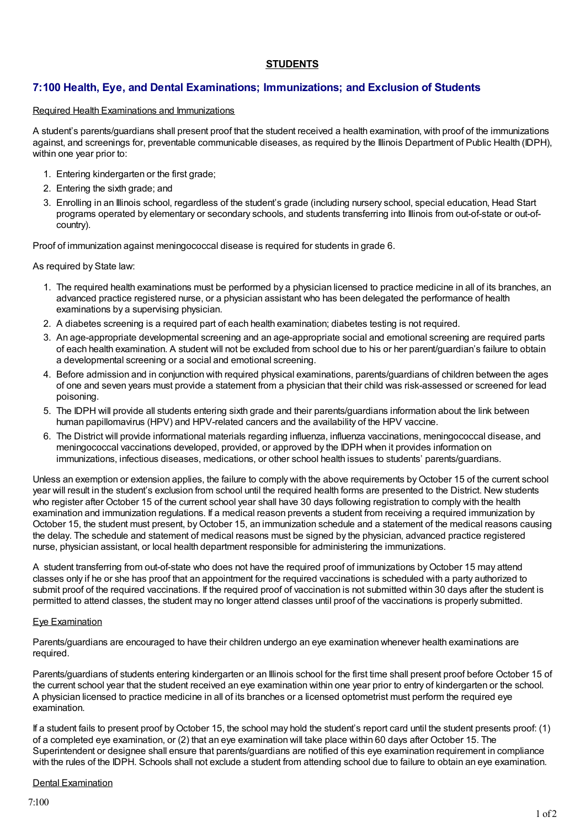## **STUDENTS**

# **7:100 Health, Eye, and Dental Examinations; Immunizations; and Exclusion of Students**

### Required Health Examinations and Immunizations

A student's parents/guardians shall present proof that the student received a health examination, with proof of the immunizations against, and screenings for, preventable communicable diseases, as required by the Illinois Department of Public Health (IDPH), within one year prior to:

- 1. Entering kindergarten or the first grade;
- 2. Entering the sixth grade; and
- 3. Enrolling in an Illinois school, regardless of the student's grade (including nursery school, special education, Head Start programs operated by elementary or secondary schools, and students transferring into Illinois from out-of-state or out-ofcountry).

Proof of immunization against meningococcal disease is required for students in grade 6.

As required by State law:

- 1. The required health examinations must be performed by a physician licensed to practice medicine in all of its branches, an advanced practice registered nurse, or a physician assistant who has been delegated the performance of health examinations by a supervising physician.
- 2. A diabetes screening is a required part of each health examination; diabetes testing is not required.
- 3. An age-appropriate developmental screening and an age-appropriate social and emotional screening are required parts of each health examination. A student will not be excluded from school due to his or her parent/guardian's failure to obtain a developmental screening or a social and emotional screening.
- 4. Before admission and in conjunction with required physical examinations, parents/guardians of children between the ages of one and seven years must provide a statement from a physician that their child was risk-assessed or screened for lead poisoning.
- 5. The IDPH will provide all students entering sixth grade and their parents/guardians information about the link between human papillomavirus (HPV) and HPV-related cancers and the availability of the HPV vaccine.
- 6. The District will provide informational materials regarding influenza, influenza vaccinations, meningococcal disease, and meningococcal vaccinations developed, provided, or approved by the IDPH when it provides information on immunizations, infectious diseases, medications, or other school health issues to students' parents/guardians.

Unless an exemption or extension applies, the failure to comply with the above requirements by October 15 of the current school year will result in the student's exclusion from school until the required health forms are presented to the District. New students who register after October 15 of the current school year shall have 30 days following registration to comply with the health examination and immunization regulations. If a medical reason prevents a student from receiving a required immunization by October 15, the student must present, byOctober 15, an immunization schedule and a statement of the medical reasons causing the delay. The schedule and statement of medical reasons must be signed by the physician, advanced practice registered nurse, physician assistant, or local health department responsible for administering the immunizations.

A student transferring from out-of-state who does not have the required proof of immunizations byOctober 15 may attend classes only if he or she has proof that an appointment for the required vaccinations is scheduled with a party authorized to submit proof of the required vaccinations. If the required proof of vaccination is not submitted within 30 days after the student is permitted to attend classes, the student may no longer attend classes until proof of the vaccinations is properly submitted.

#### Eye Examination

Parents/guardians are encouraged to have their children undergo an eye examination whenever health examinations are required.

Parents/guardians of students entering kindergarten or an Illinois school for the first time shall present proof before October 15 of the current school year that the student received an eye examination within one year prior to entry of kindergarten or the school. A physician licensed to practice medicine in all of its branches or a licensed optometrist must perform the required eye examination.

If a student fails to present proof byOctober 15, the school may hold the student's report card until the student presents proof: (1) of a completed eye examination, or (2) that an eye examination will take place within 60 days after October 15. The Superintendent or designee shall ensure that parents/guardians are notified of this eye examination requirement in compliance with the rules of the IDPH. Schools shall not exclude a student from attending school due to failure to obtain an eye examination.

### Dental Examination